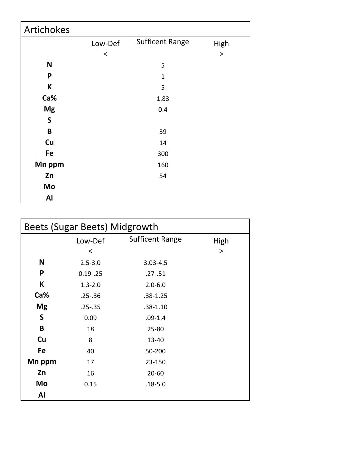| Artichokes   |         |                        |       |
|--------------|---------|------------------------|-------|
|              | Low-Def | <b>Sufficent Range</b> | High  |
|              | $\,<\,$ |                        | $\,>$ |
| $\mathsf{N}$ |         | 5                      |       |
| P            |         | $\mathbf{1}$           |       |
| К            |         | 5                      |       |
| Ca%          |         | 1.83                   |       |
| <b>Mg</b>    |         | 0.4                    |       |
| $\mathsf S$  |         |                        |       |
| $\pmb B$     |         | 39                     |       |
| Cu           |         | 14                     |       |
| Fe           |         | 300                    |       |
| Mn ppm       |         | 160                    |       |
| Zn           |         | 54                     |       |
| Mo           |         |                        |       |
| Al           |         |                        |       |

|           | Beets (Sugar Beets) Midgrowth |                        |      |  |  |
|-----------|-------------------------------|------------------------|------|--|--|
|           | Low-Def                       | <b>Sufficent Range</b> | High |  |  |
|           | ≺                             |                        | >    |  |  |
| N         | $2.5 - 3.0$                   | $3.03 - 4.5$           |      |  |  |
| P         | $0.19 - .25$                  | $.27 - .51$            |      |  |  |
| K         | $1.3 - 2.0$                   | $2.0 - 6.0$            |      |  |  |
| Ca%       | $.25 - .36$                   | $.38 - 1.25$           |      |  |  |
| <b>Mg</b> | $.25 - .35$                   | $.38 - 1.10$           |      |  |  |
| S         | 0.09                          | $.09 - 1.4$            |      |  |  |
| B         | 18                            | $25 - 80$              |      |  |  |
| Cu        | 8                             | 13-40                  |      |  |  |
| Fe        | 40                            | 50-200                 |      |  |  |
| Mn ppm    | 17                            | 23-150                 |      |  |  |
| Zn        | 16                            | $20 - 60$              |      |  |  |
| Mo        | 0.15                          | $.18 - 5.0$            |      |  |  |
| Al        |                               |                        |      |  |  |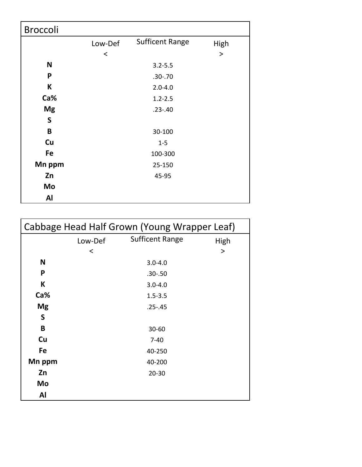| <b>Broccoli</b> |         |                        |           |
|-----------------|---------|------------------------|-----------|
|                 | Low-Def | <b>Sufficent Range</b> | High      |
|                 | $\,<\,$ |                        | $\, > \,$ |
| N               |         | $3.2 - 5.5$            |           |
| P               |         | $.30 - .70$            |           |
| K               |         | $2.0 - 4.0$            |           |
| Ca%             |         | $1.2 - 2.5$            |           |
| <b>Mg</b>       |         | $.23 - .40$            |           |
| $\mathsf S$     |         |                        |           |
| B               |         | 30-100                 |           |
| Cu              |         | $1 - 5$                |           |
| Fe              |         | 100-300                |           |
| Mn ppm          |         | 25-150                 |           |
| Zn              |         | 45-95                  |           |
| Mo              |         |                        |           |
| Al              |         |                        |           |

|           | Cabbage Head Half Grown (Young Wrapper Leaf) |                        |      |  |  |
|-----------|----------------------------------------------|------------------------|------|--|--|
|           | Low-Def                                      | <b>Sufficent Range</b> | High |  |  |
|           | $\prec$                                      |                        | >    |  |  |
| N         |                                              | $3.0 - 4.0$            |      |  |  |
| P         |                                              | $.30 - .50$            |      |  |  |
| K         |                                              | $3.0 - 4.0$            |      |  |  |
| Ca%       |                                              | $1.5 - 3.5$            |      |  |  |
| <b>Mg</b> |                                              | $.25 - .45$            |      |  |  |
| S         |                                              |                        |      |  |  |
| B         |                                              | $30 - 60$              |      |  |  |
| Cu        |                                              | $7-40$                 |      |  |  |
| Fe        |                                              | 40-250                 |      |  |  |
| Mn ppm    |                                              | 40-200                 |      |  |  |
| Zn        |                                              | $20 - 30$              |      |  |  |
| Mo        |                                              |                        |      |  |  |
| Al        |                                              |                        |      |  |  |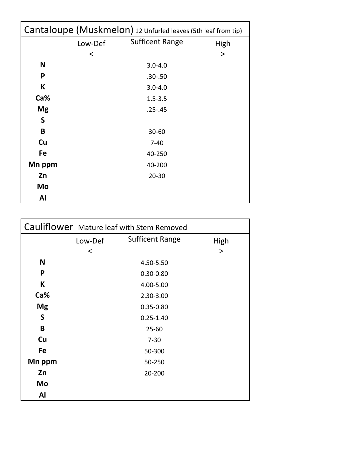| Cantaloupe (Muskmelon) 12 Unfurled leaves (5th leaf from tip) |         |                        |        |
|---------------------------------------------------------------|---------|------------------------|--------|
|                                                               | Low-Def | <b>Sufficent Range</b> | High   |
|                                                               | ≺       |                        | $\geq$ |
| N                                                             |         | $3.0 - 4.0$            |        |
| P                                                             |         | $.30 - .50$            |        |
| K                                                             |         | $3.0 - 4.0$            |        |
| Ca%                                                           |         | $1.5 - 3.5$            |        |
| <b>Mg</b>                                                     |         | $.25 - .45$            |        |
| S                                                             |         |                        |        |
| B                                                             |         | 30-60                  |        |
| Cu                                                            |         | $7 - 40$               |        |
| Fe                                                            |         | 40-250                 |        |
| Mn ppm                                                        |         | 40-200                 |        |
| Zn                                                            |         | $20 - 30$              |        |
| Mo                                                            |         |                        |        |
| Al                                                            |         |                        |        |

|           |         | Cauliflower Mature leaf with Stem Removed |      |
|-----------|---------|-------------------------------------------|------|
|           | Low-Def | <b>Sufficent Range</b>                    | High |
|           | $\prec$ |                                           | >    |
| N         |         | 4.50-5.50                                 |      |
| P         |         | $0.30 - 0.80$                             |      |
| K         |         | 4.00-5.00                                 |      |
| Ca%       |         | 2.30-3.00                                 |      |
| <b>Mg</b> |         | $0.35 - 0.80$                             |      |
| S         |         | $0.25 - 1.40$                             |      |
| B         |         | $25 - 60$                                 |      |
| Cu        |         | $7 - 30$                                  |      |
| Fe        |         | 50-300                                    |      |
| Mn ppm    |         | 50-250                                    |      |
| Zn        |         | 20-200                                    |      |
| Mo        |         |                                           |      |
| Al        |         |                                           |      |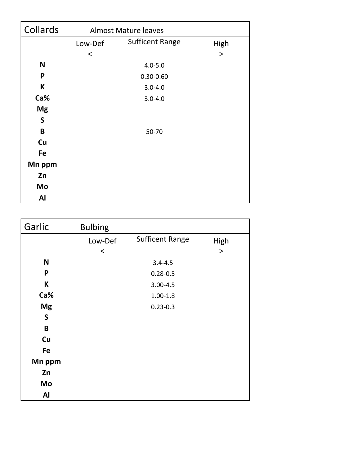| Collards  | <b>Almost Mature leaves</b> |                        |        |
|-----------|-----------------------------|------------------------|--------|
|           | Low-Def                     | <b>Sufficent Range</b> | High   |
|           | $\,<$                       |                        | $\geq$ |
| N         |                             | $4.0 - 5.0$            |        |
| P         |                             | $0.30 - 0.60$          |        |
| К         |                             | $3.0 - 4.0$            |        |
| Ca%       |                             | $3.0 - 4.0$            |        |
| <b>Mg</b> |                             |                        |        |
| S         |                             |                        |        |
| B         |                             | 50-70                  |        |
| Cu        |                             |                        |        |
| Fe        |                             |                        |        |
| Mn ppm    |                             |                        |        |
| Zn        |                             |                        |        |
| Mo        |                             |                        |        |
| Al        |                             |                        |        |

| Garlic       | <b>Bulbing</b> |                        |           |
|--------------|----------------|------------------------|-----------|
|              | Low-Def        | <b>Sufficent Range</b> | High      |
|              | $\,<\,$        |                        | $\, > \,$ |
| N            |                | $3.4 - 4.5$            |           |
| P            |                | $0.28 - 0.5$           |           |
| K            |                | $3.00 - 4.5$           |           |
| Ca%          |                | $1.00 - 1.8$           |           |
| <b>Mg</b>    |                | $0.23 - 0.3$           |           |
| $\mathsf{S}$ |                |                        |           |
| $\mathbf B$  |                |                        |           |
| Cu           |                |                        |           |
| Fe           |                |                        |           |
| Mn ppm       |                |                        |           |
| Zn           |                |                        |           |
| Mo           |                |                        |           |
| Al           |                |                        |           |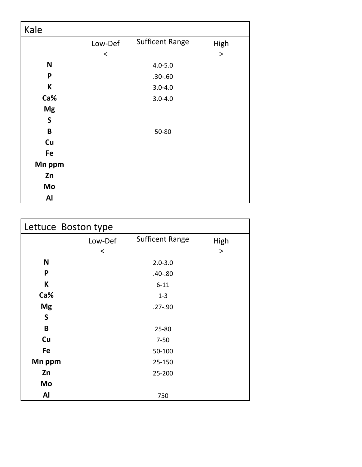| Kale         |         |                        |        |
|--------------|---------|------------------------|--------|
|              | Low-Def | <b>Sufficent Range</b> | High   |
|              | $\,<\,$ |                        | $\, >$ |
| $\mathsf{N}$ |         | $4.0 - 5.0$            |        |
| P            |         | $.30 - .60$            |        |
| К            |         | $3.0 - 4.0$            |        |
| Ca%          |         | $3.0 - 4.0$            |        |
| <b>Mg</b>    |         |                        |        |
| $\mathsf S$  |         |                        |        |
| $\pmb B$     |         | 50-80                  |        |
| Cu           |         |                        |        |
| Fe           |         |                        |        |
| Mn ppm       |         |                        |        |
| Zn           |         |                        |        |
| Mo           |         |                        |        |
| Al           |         |                        |        |

| Lettuce Boston type |         |                        |       |
|---------------------|---------|------------------------|-------|
|                     | Low-Def | <b>Sufficent Range</b> | High  |
|                     | $\,<\,$ |                        | $\,>$ |
| N                   |         | $2.0 - 3.0$            |       |
| P                   |         | $.40 - .80$            |       |
| K                   |         | $6 - 11$               |       |
| Ca%                 |         | $1 - 3$                |       |
| <b>Mg</b>           |         | $.27 - .90$            |       |
| $\mathsf S$         |         |                        |       |
| B                   |         | 25-80                  |       |
| Cu                  |         | $7 - 50$               |       |
| Fe                  |         | 50-100                 |       |
| Mn ppm              |         | 25-150                 |       |
| Zn                  |         | 25-200                 |       |
| Mo                  |         |                        |       |
| Al                  |         | 750                    |       |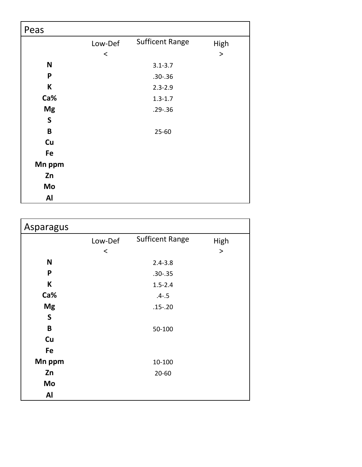| Peas        |         |                        |       |
|-------------|---------|------------------------|-------|
|             | Low-Def | <b>Sufficent Range</b> | High  |
|             | $\,<\,$ |                        | $\,>$ |
| N           |         | $3.1 - 3.7$            |       |
| P           |         | $.30 - .36$            |       |
| K           |         | $2.3 - 2.9$            |       |
| Ca%         |         | $1.3 - 1.7$            |       |
| <b>Mg</b>   |         | $.29 - .36$            |       |
| $\mathsf S$ |         |                        |       |
| $\mathbf B$ |         | $25 - 60$              |       |
| Cu          |         |                        |       |
| Fe          |         |                        |       |
| Mn ppm      |         |                        |       |
| Zn          |         |                        |       |
| Mo          |         |                        |       |
| <b>Al</b>   |         |                        |       |

| <b>Asparagus</b> |         |                        |        |
|------------------|---------|------------------------|--------|
|                  | Low-Def | <b>Sufficent Range</b> | High   |
|                  | $\,<$   |                        | $\geq$ |
| N                |         | $2.4 - 3.8$            |        |
| P                |         | $.30 - .35$            |        |
| К                |         | $1.5 - 2.4$            |        |
| Ca%              |         | $.4 - .5$              |        |
| <b>Mg</b>        |         | $.15 - .20$            |        |
| S                |         |                        |        |
| B                |         | 50-100                 |        |
| Cu               |         |                        |        |
| Fe               |         |                        |        |
| Mn ppm           |         | 10-100                 |        |
| Zn               |         | $20 - 60$              |        |
| Mo               |         |                        |        |
| <b>Al</b>        |         |                        |        |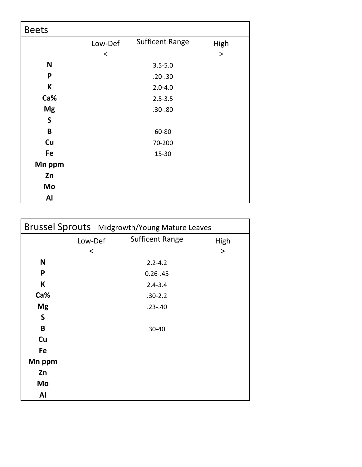| <b>Beets</b> |         |                        |       |
|--------------|---------|------------------------|-------|
|              | Low-Def | <b>Sufficent Range</b> | High  |
|              | $\,<\,$ |                        | $\,>$ |
| $\mathbf N$  |         | $3.5 - 5.0$            |       |
| P            |         | $.20 - .30$            |       |
| K            |         | $2.0 - 4.0$            |       |
| Ca%          |         | $2.5 - 3.5$            |       |
| <b>Mg</b>    |         | $.30 - .80$            |       |
| $\mathsf S$  |         |                        |       |
| $\mathbf B$  |         | 60-80                  |       |
| Cu           |         | 70-200                 |       |
| Fe           |         | $15 - 30$              |       |
| Mn ppm       |         |                        |       |
| Zn           |         |                        |       |
| Mo           |         |                        |       |
| Al           |         |                        |       |

|           | Brussel Sprouts Midgrowth/Young Mature Leaves |           |
|-----------|-----------------------------------------------|-----------|
| Low-Def   | <b>Sufficent Range</b>                        | High      |
| $\,<\,$   |                                               | $\, > \,$ |
| N         | $2.2 - 4.2$                                   |           |
| P         | $0.26 - .45$                                  |           |
| K         | $2.4 - 3.4$                                   |           |
| Ca%       | $.30 - 2.2$                                   |           |
| <b>Mg</b> | $.23 - .40$                                   |           |
| S         |                                               |           |
| B         | 30-40                                         |           |
| Cu        |                                               |           |
| Fe        |                                               |           |
| Mn ppm    |                                               |           |
| Zn        |                                               |           |
| Mo        |                                               |           |
| Al        |                                               |           |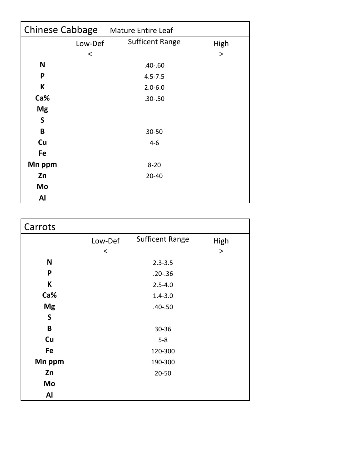| <b>Chinese Cabbage</b> |         | <b>Mature Entire Leaf</b> |      |
|------------------------|---------|---------------------------|------|
|                        | Low-Def | <b>Sufficent Range</b>    | High |
|                        | $\prec$ |                           | >    |
| N                      |         | $.40 - .60$               |      |
| P                      |         | $4.5 - 7.5$               |      |
| K                      |         | $2.0 - 6.0$               |      |
| Ca%                    |         | $.30 - .50$               |      |
| <b>Mg</b>              |         |                           |      |
| S                      |         |                           |      |
| B                      |         | 30-50                     |      |
| Cu                     |         | $4 - 6$                   |      |
| Fe                     |         |                           |      |
| Mn ppm                 |         | $8 - 20$                  |      |
| Zn                     |         | $20 - 40$                 |      |
| Mo                     |         |                           |      |
| Al                     |         |                           |      |

| Carrots      |         |                        |        |
|--------------|---------|------------------------|--------|
|              | Low-Def | <b>Sufficent Range</b> | High   |
|              | $\,<$   |                        | $\geq$ |
| N            |         | $2.3 - 3.5$            |        |
| P            |         | $.20 - .36$            |        |
| К            |         | $2.5 - 4.0$            |        |
| Ca%          |         | $1.4 - 3.0$            |        |
| <b>Mg</b>    |         | $.40 - .50$            |        |
| $\mathsf{S}$ |         |                        |        |
| B            |         | 30-36                  |        |
| Cu           |         | $5 - 8$                |        |
| Fe           |         | 120-300                |        |
| Mn ppm       |         | 190-300                |        |
| Zn           |         | $20 - 50$              |        |
| Mo           |         |                        |        |
| Al           |         |                        |        |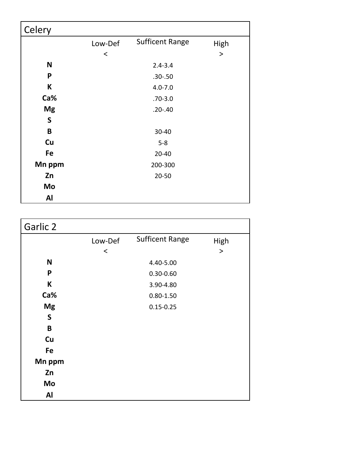| Celery       |         |                        |       |
|--------------|---------|------------------------|-------|
|              | Low-Def | <b>Sufficent Range</b> | High  |
|              | $\,<\,$ |                        | $\,>$ |
| $\mathsf{N}$ |         | $2.4 - 3.4$            |       |
| P            |         | $.30 - .50$            |       |
| K            |         | $4.0 - 7.0$            |       |
| Ca%          |         | $.70 - 3.0$            |       |
| <b>Mg</b>    |         | $.20 - .40$            |       |
| S            |         |                        |       |
| B            |         | 30-40                  |       |
| Cu           |         | $5 - 8$                |       |
| Fe           |         | $20 - 40$              |       |
| Mn ppm       |         | 200-300                |       |
| Zn           |         | $20 - 50$              |       |
| Mo           |         |                        |       |
| Al           |         |                        |       |

| Garlic 2    |         |                        |           |
|-------------|---------|------------------------|-----------|
|             | Low-Def | <b>Sufficent Range</b> | High      |
|             | $\,<$   |                        | $\, > \,$ |
| $\mathbf N$ |         | 4.40-5.00              |           |
| P           |         | $0.30 - 0.60$          |           |
| K           |         | 3.90-4.80              |           |
| Ca%         |         | $0.80 - 1.50$          |           |
| <b>Mg</b>   |         | $0.15 - 0.25$          |           |
| S           |         |                        |           |
| $\mathbf B$ |         |                        |           |
| Cu          |         |                        |           |
| Fe          |         |                        |           |
| Mn ppm      |         |                        |           |
| Zn          |         |                        |           |
| Mo          |         |                        |           |
| Al          |         |                        |           |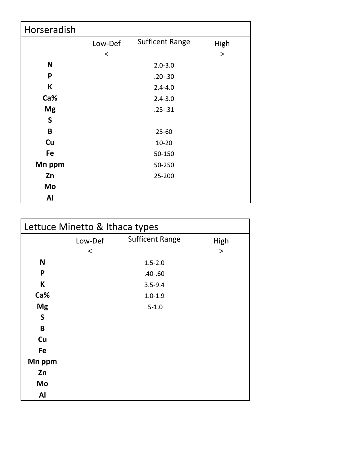| Horseradish |         |                        |      |
|-------------|---------|------------------------|------|
|             | Low-Def | <b>Sufficent Range</b> | High |
|             | $\,<\,$ |                        | >    |
| N           |         | $2.0 - 3.0$            |      |
| P           |         | $.20 - .30$            |      |
| K           |         | $2.4 - 4.0$            |      |
| Ca%         |         | $2.4 - 3.0$            |      |
| <b>Mg</b>   |         | $.25 - .31$            |      |
| S           |         |                        |      |
| B           |         | $25 - 60$              |      |
| Cu          |         | $10 - 20$              |      |
| Fe          |         | 50-150                 |      |
| Mn ppm      |         | 50-250                 |      |
| Zn          |         | 25-200                 |      |
| Mo          |         |                        |      |
| Al          |         |                        |      |

| Lettuce Minetto & Ithaca types |         |                        |       |  |
|--------------------------------|---------|------------------------|-------|--|
|                                | Low-Def | <b>Sufficent Range</b> | High  |  |
|                                | $\,<\,$ |                        | $\,>$ |  |
| N                              |         | $1.5 - 2.0$            |       |  |
| P                              |         | $.40 - .60$            |       |  |
| K                              |         | $3.5 - 9.4$            |       |  |
| Ca%                            |         | $1.0 - 1.9$            |       |  |
| <b>Mg</b>                      |         | $.5 - 1.0$             |       |  |
| S                              |         |                        |       |  |
| B                              |         |                        |       |  |
| Cu                             |         |                        |       |  |
| Fe                             |         |                        |       |  |
| Mn ppm                         |         |                        |       |  |
| Zn                             |         |                        |       |  |
| Mo                             |         |                        |       |  |
| Al                             |         |                        |       |  |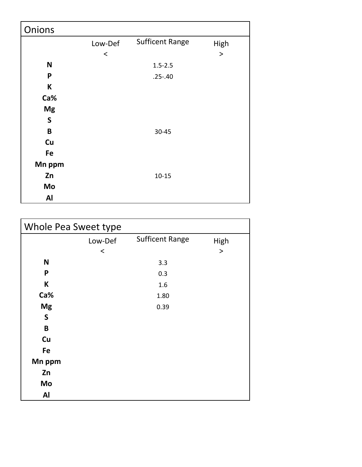| Onions       |         |                        |        |
|--------------|---------|------------------------|--------|
|              | Low-Def | <b>Sufficent Range</b> | High   |
|              | $\,<$   |                        | $\geq$ |
| ${\sf N}$    |         | $1.5 - 2.5$            |        |
| P            |         | $.25 - .40$            |        |
| $\sf K$      |         |                        |        |
| Ca%          |         |                        |        |
| <b>Mg</b>    |         |                        |        |
| $\mathsf{S}$ |         |                        |        |
| $\mathsf B$  |         | 30-45                  |        |
| Cu           |         |                        |        |
| Fe           |         |                        |        |
| Mn ppm       |         |                        |        |
| Zn           |         | $10 - 15$              |        |
| Mo           |         |                        |        |
| Al           |         |                        |        |

| Whole Pea Sweet type |         |                        |        |  |
|----------------------|---------|------------------------|--------|--|
|                      | Low-Def | <b>Sufficent Range</b> | High   |  |
|                      | $\,<$   |                        | $\, >$ |  |
| N                    |         | 3.3                    |        |  |
| P                    |         | 0.3                    |        |  |
| K                    |         | 1.6                    |        |  |
| Ca%                  |         | 1.80                   |        |  |
| <b>Mg</b>            |         | 0.39                   |        |  |
| $\mathsf{S}$         |         |                        |        |  |
| B                    |         |                        |        |  |
| Cu                   |         |                        |        |  |
| Fe                   |         |                        |        |  |
| Mn ppm               |         |                        |        |  |
| Zn                   |         |                        |        |  |
| Mo                   |         |                        |        |  |
| Al                   |         |                        |        |  |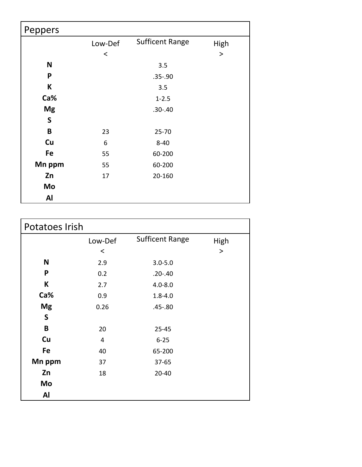| Peppers      |         |                        |           |
|--------------|---------|------------------------|-----------|
|              | Low-Def | <b>Sufficent Range</b> | High      |
|              | $\,<\,$ |                        | $\, > \,$ |
| $\mathbf N$  |         | 3.5                    |           |
| P            |         | $.35 - .90$            |           |
| К            |         | 3.5                    |           |
| Ca%          |         | $1 - 2.5$              |           |
| <b>Mg</b>    |         | $.30 - .40$            |           |
| $\mathsf{S}$ |         |                        |           |
| $\mathbf B$  | 23      | $25 - 70$              |           |
| Cu           | 6       | $8 - 40$               |           |
| Fe           | 55      | 60-200                 |           |
| Mn ppm       | 55      | 60-200                 |           |
| Zn           | 17      | 20-160                 |           |
| Mo           |         |                        |           |
| Al           |         |                        |           |

| Potatoes Irish |         |                        |           |
|----------------|---------|------------------------|-----------|
|                | Low-Def | <b>Sufficent Range</b> | High      |
|                | $\,<$   |                        | $\, > \,$ |
| N              | 2.9     | $3.0 - 5.0$            |           |
| P              | 0.2     | $.20 - .40$            |           |
| К              | 2.7     | $4.0 - 8.0$            |           |
| Ca%            | 0.9     | $1.8 - 4.0$            |           |
| <b>Mg</b>      | 0.26    | $.45 - .80$            |           |
| S              |         |                        |           |
| B              | 20      | $25 - 45$              |           |
| Cu             | 4       | $6 - 25$               |           |
| Fe             | 40      | 65-200                 |           |
| Mn ppm         | 37      | $37 - 65$              |           |
| Zn             | 18      | $20 - 40$              |           |
| Mo             |         |                        |           |
| Al             |         |                        |           |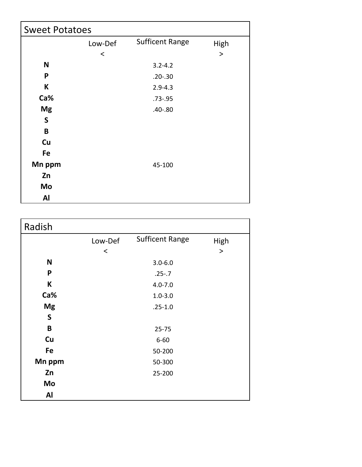| <b>Sweet Potatoes</b> |         |                        |       |  |
|-----------------------|---------|------------------------|-------|--|
|                       | Low-Def | <b>Sufficent Range</b> | High  |  |
|                       | $\,<\,$ |                        | $\,>$ |  |
| N                     |         | $3.2 - 4.2$            |       |  |
| P                     |         | $.20 - .30$            |       |  |
| К                     |         | $2.9 - 4.3$            |       |  |
| Ca%                   |         | $.73 - .95$            |       |  |
| <b>Mg</b>             |         | $.40 - .80$            |       |  |
| $\mathsf{S}$          |         |                        |       |  |
| B                     |         |                        |       |  |
| Cu                    |         |                        |       |  |
| Fe                    |         |                        |       |  |
| Mn ppm                |         | 45-100                 |       |  |
| Zn                    |         |                        |       |  |
| Mo                    |         |                        |       |  |
| Al                    |         |                        |       |  |

| Radish    |         |                        |        |
|-----------|---------|------------------------|--------|
|           | Low-Def | <b>Sufficent Range</b> | High   |
|           | $\,<\,$ |                        | $\, >$ |
| N         |         | $3.0 - 6.0$            |        |
| P         |         | $.25 - .7$             |        |
| К         |         | $4.0 - 7.0$            |        |
| Ca%       |         | $1.0 - 3.0$            |        |
| <b>Mg</b> |         | $.25 - 1.0$            |        |
| S         |         |                        |        |
| B         |         | $25 - 75$              |        |
| Cu        |         | $6 - 60$               |        |
| Fe        |         | 50-200                 |        |
| Mn ppm    |         | 50-300                 |        |
| Zn        |         | 25-200                 |        |
| Mo        |         |                        |        |
| Al        |         |                        |        |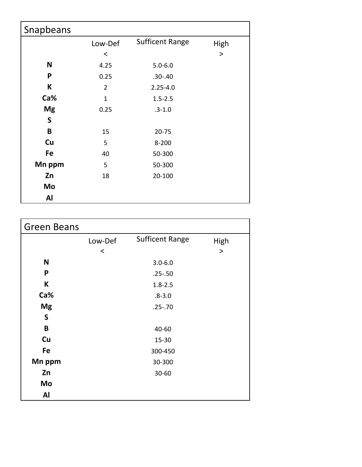| Snapbeans |                |                        |           |
|-----------|----------------|------------------------|-----------|
|           | Low-Def        | <b>Sufficent Range</b> | High      |
|           | $\,<\,$        |                        | $\, > \,$ |
| N         | 4.25           | $5.0 - 6.0$            |           |
| P         | 0.25           | $.30 - .40$            |           |
| К         | $\overline{2}$ | $2.25 - 4.0$           |           |
| Ca%       | $\mathbf{1}$   | $1.5 - 2.5$            |           |
| <b>Mg</b> | 0.25           | $.3 - 1.0$             |           |
| S         |                |                        |           |
| B         | 15             | $20 - 75$              |           |
| Cu        | 5              | $8 - 200$              |           |
| Fe        | 40             | 50-300                 |           |
| Mn ppm    | 5              | 50-300                 |           |
| Zn        | 18             | 20-100                 |           |
| Mo        |                |                        |           |
| Al        |                |                        |           |

| <b>Green Beans</b> |         |                        |           |
|--------------------|---------|------------------------|-----------|
|                    | Low-Def | <b>Sufficent Range</b> | High      |
|                    | $\,<$   |                        | $\, > \,$ |
| N                  |         | $3.0 - 6.0$            |           |
| P                  |         | $.25 - .50$            |           |
| К                  |         | $1.8 - 2.5$            |           |
| Ca%                |         | $.8 - 3.0$             |           |
| <b>Mg</b>          |         | $.25 - .70$            |           |
| $\mathsf S$        |         |                        |           |
| B                  |         | 40-60                  |           |
| Cu                 |         | $15 - 30$              |           |
| Fe                 |         | 300-450                |           |
| Mn ppm             |         | 30-300                 |           |
| Zn                 |         | 30-60                  |           |
| Mo                 |         |                        |           |
| <b>Al</b>          |         |                        |           |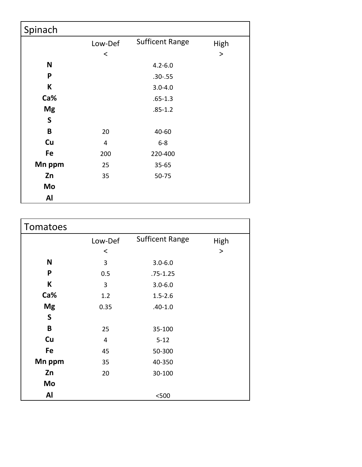| Spinach     |         |                        |           |
|-------------|---------|------------------------|-----------|
|             | Low-Def | <b>Sufficent Range</b> | High      |
|             | $\,<\,$ |                        | $\, > \,$ |
| N           |         | $4.2 - 6.0$            |           |
| P           |         | $.30 - .55$            |           |
| К           |         | $3.0 - 4.0$            |           |
| Ca%         |         | $.65 - 1.3$            |           |
| <b>Mg</b>   |         | $.85 - 1.2$            |           |
| $\mathsf S$ |         |                        |           |
| $\mathbf B$ | 20      | 40-60                  |           |
| Cu          | 4       | $6 - 8$                |           |
| Fe          | 200     | 220-400                |           |
| Mn ppm      | 25      | $35 - 65$              |           |
| Zn          | 35      | 50-75                  |           |
| Mo          |         |                        |           |
| Al          |         |                        |           |

| Tomatoes  |         |                        |          |
|-----------|---------|------------------------|----------|
|           | Low-Def | <b>Sufficent Range</b> | High     |
|           | $\,<\,$ |                        | $\rm{>}$ |
| N         | 3       | $3.0 - 6.0$            |          |
| P         | 0.5     | $.75 - 1.25$           |          |
| К         | 3       | $3.0 - 6.0$            |          |
| Ca%       | 1.2     | $1.5 - 2.6$            |          |
| <b>Mg</b> | 0.35    | $.40 - 1.0$            |          |
| S         |         |                        |          |
| B         | 25      | 35-100                 |          |
| Cu        | 4       | $5 - 12$               |          |
| Fe        | 45      | 50-300                 |          |
| Mn ppm    | 35      | 40-350                 |          |
| Zn        | 20      | 30-100                 |          |
| Mo        |         |                        |          |
| Al        |         | $500$                  |          |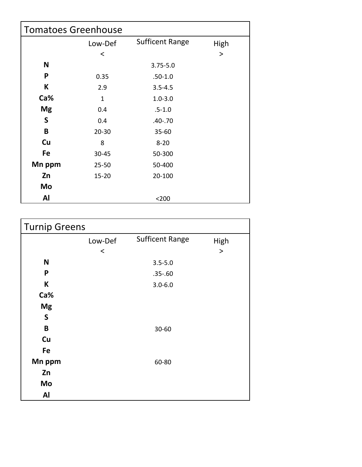| <b>Tomatoes Greenhouse</b> |           |                        |           |  |
|----------------------------|-----------|------------------------|-----------|--|
|                            | Low-Def   | <b>Sufficent Range</b> | High      |  |
|                            | ≺         |                        | $\, > \,$ |  |
| N                          |           | $3.75 - 5.0$           |           |  |
| P                          | 0.35      | $.50 - 1.0$            |           |  |
| К                          | 2.9       | $3.5 - 4.5$            |           |  |
| Ca%                        | 1         | $1.0 - 3.0$            |           |  |
| <b>Mg</b>                  | 0.4       | $.5 - 1.0$             |           |  |
| $\mathsf{S}$               | 0.4       | $.40 - .70$            |           |  |
| B                          | $20 - 30$ | $35 - 60$              |           |  |
| Cu                         | 8         | $8 - 20$               |           |  |
| Fe                         | 30-45     | 50-300                 |           |  |
| Mn ppm                     | $25 - 50$ | 50-400                 |           |  |
| Zn                         | $15 - 20$ | 20-100                 |           |  |
| Mo                         |           |                        |           |  |
| Al                         |           | $200$                  |           |  |

| <b>Turnip Greens</b> |         |                        |           |
|----------------------|---------|------------------------|-----------|
|                      | Low-Def | <b>Sufficent Range</b> | High      |
|                      | $\,<$   |                        | $\, > \,$ |
| N                    |         | $3.5 - 5.0$            |           |
| P                    |         | $.35 - .60$            |           |
| К                    |         | $3.0 - 6.0$            |           |
| Ca%                  |         |                        |           |
| <b>Mg</b>            |         |                        |           |
| $\mathsf{S}$         |         |                        |           |
| $\pmb B$             |         | 30-60                  |           |
| Cu                   |         |                        |           |
| Fe                   |         |                        |           |
| Mn ppm               |         | 60-80                  |           |
| Zn                   |         |                        |           |
| Mo                   |         |                        |           |
| Al                   |         |                        |           |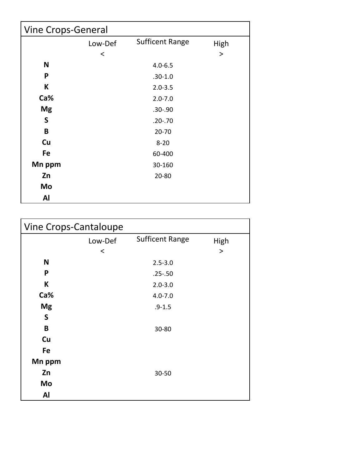| <b>Vine Crops-General</b> |         |                        |          |  |
|---------------------------|---------|------------------------|----------|--|
|                           | Low-Def | <b>Sufficent Range</b> | High     |  |
|                           | $\,<\,$ |                        | $\rm{>}$ |  |
| N                         |         | $4.0 - 6.5$            |          |  |
| P                         |         | $.30 - 1.0$            |          |  |
| К                         |         | $2.0 - 3.5$            |          |  |
| Ca%                       |         | $2.0 - 7.0$            |          |  |
| <b>Mg</b>                 |         | $.30 - .90$            |          |  |
| $\mathsf S$               |         | $.20 - .70$            |          |  |
| B                         |         | $20 - 70$              |          |  |
| Cu                        |         | $8 - 20$               |          |  |
| Fe                        |         | 60-400                 |          |  |
| Mn ppm                    |         | 30-160                 |          |  |
| Zn                        |         | $20 - 80$              |          |  |
| Mo                        |         |                        |          |  |
| Al                        |         |                        |          |  |

| Vine Crops-Cantaloupe |         |                        |           |  |
|-----------------------|---------|------------------------|-----------|--|
|                       | Low-Def | <b>Sufficent Range</b> | High      |  |
|                       | $\,<$   |                        | $\, > \,$ |  |
| N                     |         | $2.5 - 3.0$            |           |  |
| P                     |         | $.25 - .50$            |           |  |
| K                     |         | $2.0 - 3.0$            |           |  |
| Ca%                   |         | $4.0 - 7.0$            |           |  |
| <b>Mg</b>             |         | $.9 - 1.5$             |           |  |
| $\mathsf{S}$          |         |                        |           |  |
| B                     |         | 30-80                  |           |  |
| Cu                    |         |                        |           |  |
| Fe                    |         |                        |           |  |
| Mn ppm                |         |                        |           |  |
| Zn                    |         | 30-50                  |           |  |
| Mo                    |         |                        |           |  |
| Al                    |         |                        |           |  |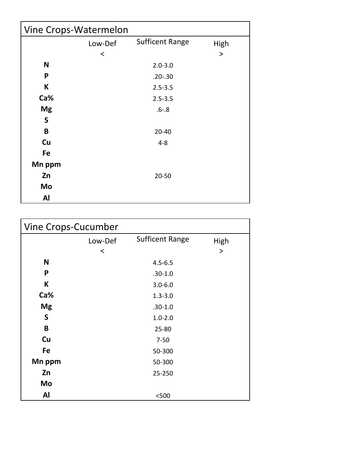| Vine Crops-Watermelon |         |                        |       |  |
|-----------------------|---------|------------------------|-------|--|
|                       | Low-Def | <b>Sufficent Range</b> | High  |  |
|                       | $\,<$   |                        | $\,>$ |  |
| N                     |         | $2.0 - 3.0$            |       |  |
| P                     |         | $.20 - .30$            |       |  |
| K                     |         | $2.5 - 3.5$            |       |  |
| Ca%                   |         | $2.5 - 3.5$            |       |  |
| <b>Mg</b>             |         | $.6 - .8$              |       |  |
| $\mathsf{S}$          |         |                        |       |  |
| B                     |         | $20 - 40$              |       |  |
| Cu                    |         | $4 - 8$                |       |  |
| Fe                    |         |                        |       |  |
| Mn ppm                |         |                        |       |  |
| Zn                    |         | $20 - 50$              |       |  |
| Mo                    |         |                        |       |  |
| Al                    |         |                        |       |  |

| Vine Crops-Cucumber |         |                        |          |  |
|---------------------|---------|------------------------|----------|--|
|                     | Low-Def | <b>Sufficent Range</b> | High     |  |
|                     | $\,<\,$ |                        | $\rm{>}$ |  |
| N                   |         | $4.5 - 6.5$            |          |  |
| P                   |         | $.30 - 1.0$            |          |  |
| K                   |         | $3.0 - 6.0$            |          |  |
| Ca%                 |         | $1.3 - 3.0$            |          |  |
| <b>Mg</b>           |         | $.30 - 1.0$            |          |  |
| S                   |         | $1.0 - 2.0$            |          |  |
| B                   |         | $25 - 80$              |          |  |
| Cu                  |         | $7 - 50$               |          |  |
| Fe                  |         | 50-300                 |          |  |
| Mn ppm              |         | 50-300                 |          |  |
| Zn                  |         | 25-250                 |          |  |
| Mo                  |         |                        |          |  |
| Al                  |         | < 500                  |          |  |